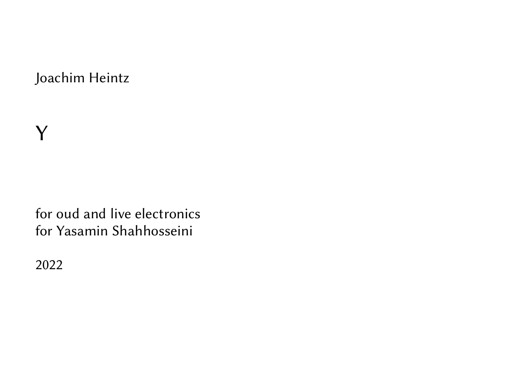Joachim Heintz

for oud and live electronics for Yasamin Shahhosseini

2022

Y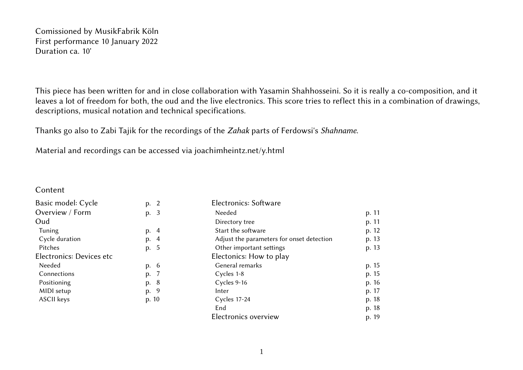Comissioned by MusikFabrik Köln First performance 10 January 2022 Duration ca. 10'

This piece has been written for and in close collaboration with Yasamin Shahhosseini. So it is really a co-composition, and it leaves a lot of freedom for both, the oud and the live electronics. This score tries to reflect this in a combination of drawings, descriptions, musical notation and technical specifications.

Thanks go also to Zabi Tajik for the recordings of the *Zahak* parts of Ferdowsi's *Shahname*.

Material and recordings can be accessed via joachimheintz.net/y.html

Content

| Basic model: Cycle       | p. 2  | Electronics: Software                     |                                                                      |  |
|--------------------------|-------|-------------------------------------------|----------------------------------------------------------------------|--|
| Overview / Form          | p. 3  | Needed                                    | p. 11                                                                |  |
| Oud                      |       | Directory tree                            | p. 11                                                                |  |
| <b>Tuning</b>            | p. 4  | Start the software                        | p. 12                                                                |  |
| Cycle duration           | p. 4  | Adjust the parameters for onset detection | p. 13<br>p. 13<br>p. 15<br>p. 15<br>p. 16<br>p. 17<br>p. 18<br>p. 18 |  |
| Pitches                  | p. 5  | Other important settings                  |                                                                      |  |
| Electronics: Devices etc |       | Electonics: How to play                   |                                                                      |  |
| Needed                   | p. 6  | General remarks                           |                                                                      |  |
| Connections              | p. 7  | Cycles 1-8                                |                                                                      |  |
| Positioning              | p. 8  | Cycles 9-16                               |                                                                      |  |
| MIDI setup               | p. 9  | Inter                                     |                                                                      |  |
| ASCII keys               | p. 10 | Cycles 17-24                              |                                                                      |  |
|                          |       | End                                       |                                                                      |  |
|                          |       | Electronics overview                      | p. 19                                                                |  |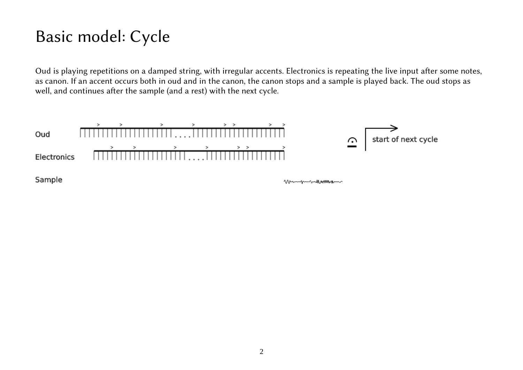# Basic model: Cycle

Oud is playing repetitions on a damped string, with irregular accents. Electronics is repeating the live input after some notes, as canon. If an accent occurs both in oud and in the canon, the canon stops and a sample is played back. The oud stops as well, and continues after the sample (and a rest) with the next cycle.

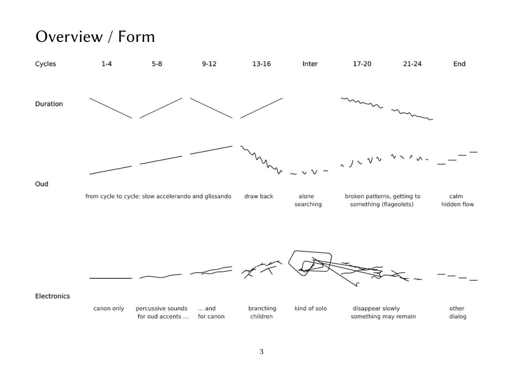## Overview / Form

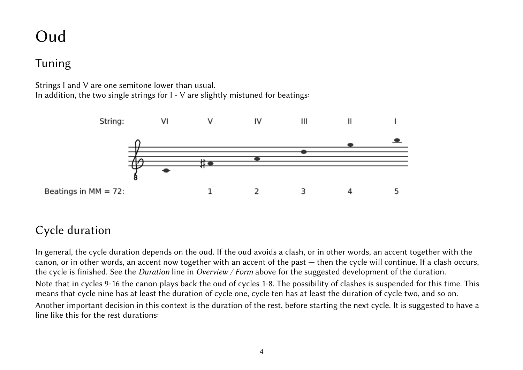# Oud

## Tuning

Strings I and V are one semitone lower than usual. In addition, the two single strings for I - V are slightly mistuned for beatings:



## Cycle duration

In general, the cycle duration depends on the oud. If the oud avoids a clash, or in other words, an accent together with the canon, or in other words, an accent now together with an accent of the past — then the cycle will continue. If a clash occurs, the cycle is finished. See the *Duration* line in *Overview / Form* above for the suggested development of the duration. Note that in cycles 9-16 the canon plays back the oud of cycles 1-8. The possibility of clashes is suspended for this time. This means that cycle nine has at least the duration of cycle one, cycle ten has at least the duration of cycle two, and so on. Another important decision in this context is the duration of the rest, before starting the next cycle. It is suggested to have a line like this for the rest durations: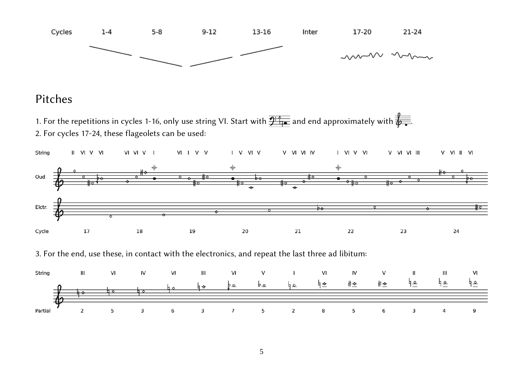

#### Pitches

1. For the repetitions in cycles 1-16, only use string VI. Start with  $\frac{p}{p+q}$  and end approximately with  $\frac{p}{q}$ . 2. For cycles 17-24, these flageolets can be used:



3. For the end, use these, in contact with the electronics, and repeat the last three ad libitum:

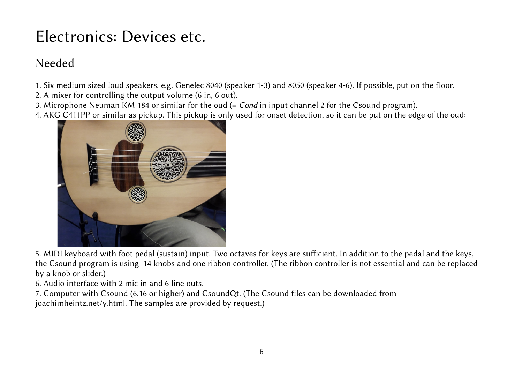# Electronics: Devices etc.

## Needed

- 1. Six medium sized loud speakers, e.g. Genelec 8040 (speaker 1-3) and 8050 (speaker 4-6). If possible, put on the floor.
- 2. A mixer for controlling the output volume (6 in, 6 out).
- 3. Microphone Neuman KM 184 or similar for the oud (= *Cond* in input channel 2 for the Csound program).
- 4. AKG C411PP or similar as pickup. This pickup is only used for onset detection, so it can be put on the edge of the oud:



5. MIDI keyboard with foot pedal (sustain) input. Two octaves for keys are sufficient. In addition to the pedal and the keys, the Csound program is using 14 knobs and one ribbon controller. (The ribbon controller is not essential and can be replaced by a knob or slider.)

6. Audio interface with 2 mic in and 6 line outs.

7. Computer with Csound (6.16 or higher) and CsoundQt. (The Csound files can be downloaded from joachimheintz.net/y.html. The samples are provided by request.)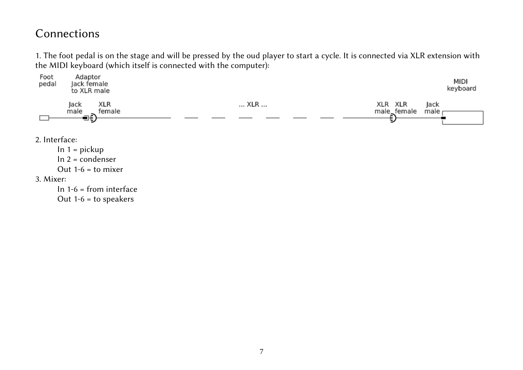#### Connections

1. The foot pedal is on the stage and will be pressed by the oud player to start a cycle. It is connected via XLR extension with the MIDI keyboard (which itself is connected with the computer):

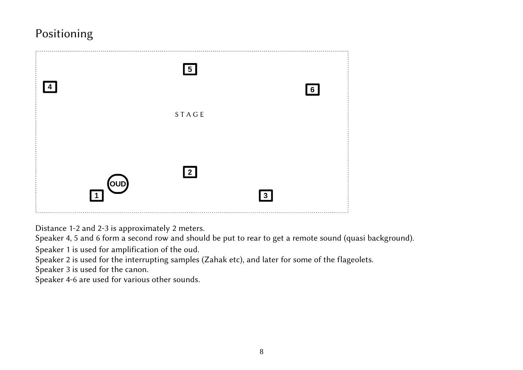## Positioning



Distance 1-2 and 2-3 is approximately 2 meters.

Speaker 4, 5 and 6 form a second row and should be put to rear to get a remote sound (quasi background).

Speaker 1 is used for amplification of the oud.

Speaker 2 is used for the interrupting samples (Zahak etc), and later for some of the flageolets.

Speaker 3 is used for the canon.

Speaker 4-6 are used for various other sounds.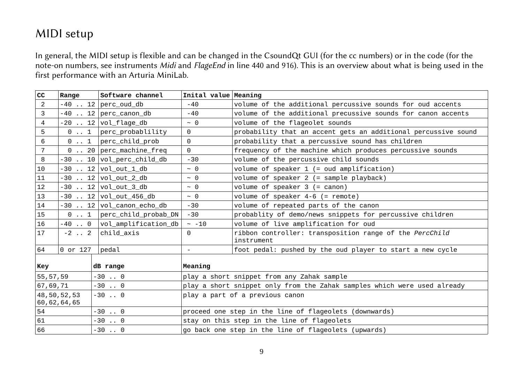### MIDI setup

In general, the MIDI setup is flexible and can be changed in the CsoundQt GUI (for the cc numbers) or in the code (for the note-on numbers, see instruments *Midi* and *FlageEnd* in line 440 and 916). This is an overview about what is being used in the first performance with an Arturia MiniLab.

| cc                                       | Range        | Software channel                                                  | Inital value Meaning                                                     |                                                                       |  |  |  |  |
|------------------------------------------|--------------|-------------------------------------------------------------------|--------------------------------------------------------------------------|-----------------------------------------------------------------------|--|--|--|--|
| $\overline{2}$                           |              | $-40$ 12 $ perc_0ud_d$                                            | $-40$                                                                    | volume of the additional percussive sounds for oud accents            |  |  |  |  |
| 3                                        |              | $-40$ 12 perc canon db                                            | $-40$                                                                    | volume of the additional precussive sounds for canon accents          |  |  |  |  |
| 4                                        |              | $-20$ 12 $vol_f \tag{10}$                                         | $~\sim~0$                                                                | volume of the flageolet sounds                                        |  |  |  |  |
| 5                                        | $0 \ldots 1$ | perc_probablility                                                 | $\Theta$                                                                 | probability that an accent gets an additional percussive sound        |  |  |  |  |
| 6                                        |              | $\theta$ 1   perc_child_prob                                      | $\Theta$                                                                 | probability that a percussive sound has children                      |  |  |  |  |
| $\overline{7}$                           |              | $\theta$ 20 perc machine freq                                     | $\Theta$                                                                 | frequency of the machine which produces percussive sounds             |  |  |  |  |
| 8                                        |              | -30  10 vol_perc_child_db                                         | $-30$                                                                    | volume of the percussive child sounds                                 |  |  |  |  |
| 10                                       |              | $-30$ 12 $vol_out_1_d$                                            | $~\sim~0$                                                                | volume of speaker $1$ (= oud amplification)                           |  |  |  |  |
| 11                                       |              | $-30$ 12 $vol_out_2_d$                                            | $\sim$ $\Theta$                                                          | volume of speaker 2 (= sample playback)                               |  |  |  |  |
| 12                                       |              | $-30$ 12   vol_out_3_db                                           | $~\sim~0$                                                                | volume of speaker $3$ (= canon)                                       |  |  |  |  |
| 13                                       |              | -30  12 vol_out_456_db                                            | $\sim$ $\Theta$                                                          | volume of speaker $4-6$ (= remote)                                    |  |  |  |  |
| 14                                       |              | $-30$ 12 $\vert$ vol_canon_echo_db                                | $-30$                                                                    | volume of repeated parts of the canon                                 |  |  |  |  |
| 15                                       | $0 \ldots 1$ | perc_child_probab_DN                                              | $-30$                                                                    | probablity of demo/news snippets for percussive children              |  |  |  |  |
| 16                                       | $-40$ . 0    | $ vol\_amp$ lification_db                                         | ~10                                                                      | volume of live amplification for oud                                  |  |  |  |  |
| 17                                       | $-2$ 2       | child_axis                                                        | $\Theta$                                                                 | ribbon controller: transposition range of the PercChild<br>instrument |  |  |  |  |
| 64                                       | $0$ or 127   | pedal                                                             | $\overline{\phantom{a}}$                                                 | foot pedal: pushed by the oud player to start a new cycle             |  |  |  |  |
| Key                                      |              | dB range                                                          | Meaning                                                                  |                                                                       |  |  |  |  |
| 55, 57, 59<br>$-30$ . 0                  |              |                                                                   | play a short snippet from any Zahak sample                               |                                                                       |  |  |  |  |
| 67,69,71<br>$-30$ . 0                    |              |                                                                   | play a short snippet only from the Zahak samples which were used already |                                                                       |  |  |  |  |
| 48,50,52,53<br>$-30$ 0<br>60, 62, 64, 65 |              |                                                                   | play a part of a previous canon                                          |                                                                       |  |  |  |  |
| 54                                       |              | proceed one step in the line of flageolets (downwards)<br>$-30$ 0 |                                                                          |                                                                       |  |  |  |  |
| 61                                       |              | $-30$ 0                                                           |                                                                          | stay on this step in the line of flageolets                           |  |  |  |  |
| 66                                       |              | $-30$ . 0                                                         |                                                                          | go back one step in the line of flageolets (upwards)                  |  |  |  |  |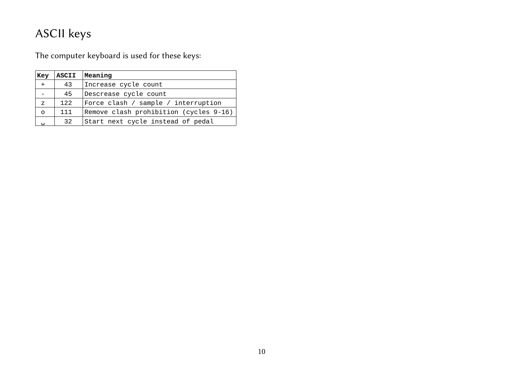## ASCII keys

The computer keyboard is used for these keys:

| Key            | <b>ASCII</b> | Meaning                                |
|----------------|--------------|----------------------------------------|
| $+$            | 43           | Increase cycle count                   |
|                | 45           | Descrease cycle count                  |
| $\overline{z}$ | 122          | Force clash / sample / interruption    |
| $\Omega$       | 111          | Remove clash prohibition (cycles 9-16) |
|                | 32           | Start next cycle instead of pedal      |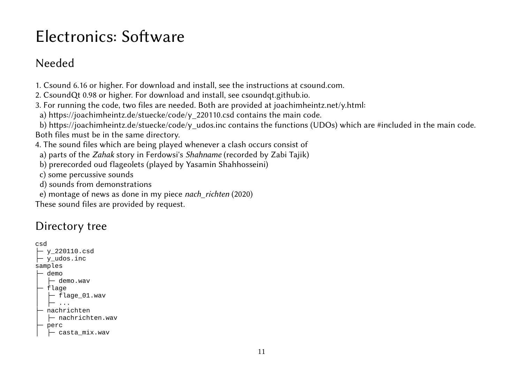# Electronics: Software

## Needed

1. Csound 6.16 or higher. For download and install, see the instructions at csound.com.

2. CsoundQt 0.98 or higher. For download and install, see csoundqt.github.io.

3. For running the code, two files are needed. Both are provided at joachimheintz.net/y.html:

a) https://joachimheintz.de/stuecke/code/y\_220110.csd contains the main code.

b) https://joachimheintz.de/stuecke/code/y udos.inc contains the functions (UDOs) which are #included in the main code. Both files must be in the same directory.

4. The sound files which are being played whenever a clash occurs consist of

a) parts of the *Zahak* story in Ferdowsi's *Shahname* (recorded by Zabi Tajik)

b) prerecorded oud flageolets (played by Yasamin Shahhosseini)

c) some percussive sounds

d) sounds from demonstrations

e) montage of news as done in my piece *nach\_richten* (2020)

These sound files are provided by request.

## Directory tree

```
csd
 - y_220110.csd├─ y_udos.inc
samples
 ├─ demo
    \vdash demo.wav
 – flage
    │ ├─ flage_01.wav
│ ├─ ...
   nachrichten
    \vdash nachrichten.wav
   perc
    │ ├─ casta_mix.wav
```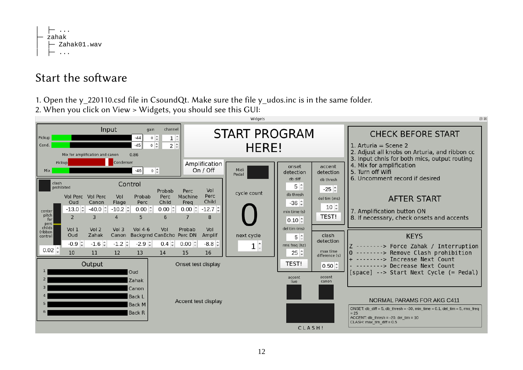

### Start the software

1. Open the y 220110.csd file in CsoundQt. Make sure the file y udos.inc is in the same folder.

2. When you click on View > Widgets, you should see this GUI:

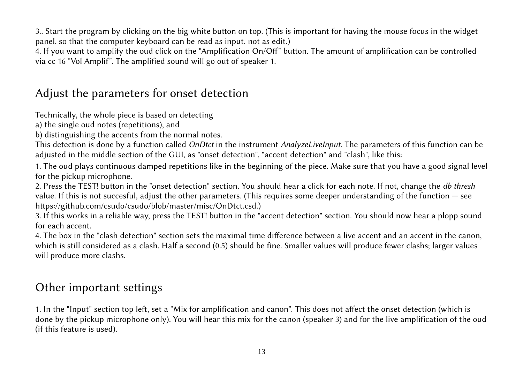3.. Start the program by clicking on the big white button on top. (This is important for having the mouse focus in the widget panel, so that the computer keyboard can be read as input, not as edit.)

4. If you want to amplify the oud click on the "Amplification On/Off" button. The amount of amplification can be controlled via cc 16 "Vol Amplif". The amplified sound will go out of speaker 1.

## Adjust the parameters for onset detection

Technically, the whole piece is based on detecting

a) the single oud notes (repetitions), and

b) distinguishing the accents from the normal notes.

This detection is done by a function called *OnDtct* in the instrument *AnalyzeLiveInput*. The parameters of this function can be adjusted in the middle section of the GUI, as "onset detection", "accent detection" and "clash", like this:

1. The oud plays continuous damped repetitions like in the beginning of the piece. Make sure that you have a good signal level for the pickup microphone.

2. Press the TEST! button in the "onset detection" section. You should hear a click for each note. If not, change the *db thresh* value. If this is not succesful, adjust the other parameters. (This requires some deeper understanding of the function — see https://github.com/csudo/csudo/blob/master/misc/OnDtct.csd.)

3. If this works in a reliable way, press the TEST! button in the "accent detection" section. You should now hear a plopp sound for each accent.

4. The box in the "clash detection" section sets the maximal time difference between a live accent and an accent in the canon, which is still considered as a clash. Half a second (0.5) should be fine. Smaller values will produce fewer clashs; larger values will produce more clashs.

### Other important settings

1. In the "Input" section top left, set a "Mix for amplification and canon". This does not affect the onset detection (which is done by the pickup microphone only). You will hear this mix for the canon (speaker 3) and for the live amplification of the oud (if this feature is used).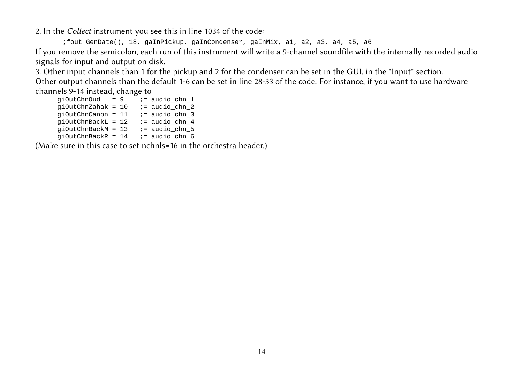2. In the *Collect* instrument you see this in line 1034 of the code:

;fout GenDate(), 18, gaInPickup, gaInCondenser, gaInMix, a1, a2, a3, a4, a5, a6 If you remove the semicolon, each run of this instrument will write a 9-channel soundfile with the internally recorded audio signals for input and output on disk.

3. Other input channels than 1 for the pickup and 2 for the condenser can be set in the GUI, in the "Input" section.

Other output channels than the default 1-6 can be set in line 28-33 of the code. For instance, if you want to use hardware channels 9-14 instead, change to

qiOutChnOud =  $9 \times 7 =$  audio chn 1 qiOutChnZahak =  $10$  ; = audio chn 2  $q$ iOutChnCanon = 11 ;= audio\_chn\_3 qiOutChnBackL =  $12$  ;= audio chn 4  $qiOutChnBackM = 13$  ;= audio\_chn\_5  $qiOutChnBackR = 14$  ;= audio\_chn\_6

(Make sure in this case to set nchnls=16 in the orchestra header.)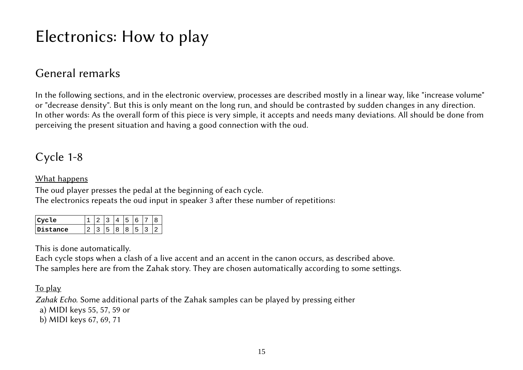# Electronics: How to play

### General remarks

In the following sections, and in the electronic overview, processes are described mostly in a linear way, like "increase volume" or "decrease density". But this is only meant on the long run, and should be contrasted by sudden changes in any direction. In other words: As the overall form of this piece is very simple, it accepts and needs many deviations. All should be done from perceiving the present situation and having a good connection with the oud.

### Cycle 1-8

#### What happens

The oud player presses the pedal at the beginning of each cycle. The electronics repeats the oud input in speaker 3 after these number of repetitions:

| <b>Le</b> |  |   |  |  |
|-----------|--|---|--|--|
| tance     |  | n |  |  |

This is done automatically.

Each cycle stops when a clash of a live accent and an accent in the canon occurs, as described above. The samples here are from the Zahak story. They are chosen automatically according to some settings.

To play

*Zahak Echo.* Some additional parts of the Zahak samples can be played by pressing either

a) MIDI keys 55, 57, 59 or

b) MIDI keys 67, 69, 71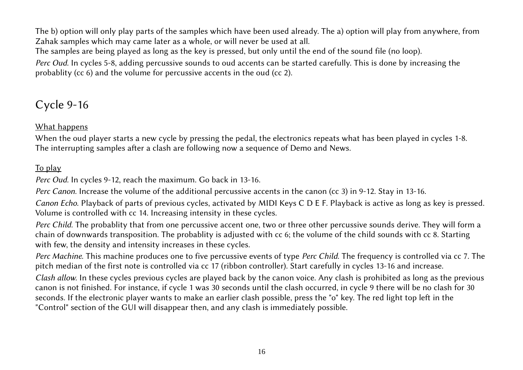The b) option will only play parts of the samples which have been used already. The a) option will play from anywhere, from Zahak samples which may came later as a whole, or will never be used at all.

The samples are being played as long as the key is pressed, but only until the end of the sound file (no loop).

*Perc Oud.* In cycles 5-8, adding percussive sounds to oud accents can be started carefully. This is done by increasing the probablity (cc 6) and the volume for percussive accents in the oud (cc 2).

### Cycle 9-16

#### What happens

When the oud player starts a new cycle by pressing the pedal, the electronics repeats what has been played in cycles 1-8. The interrupting samples after a clash are following now a sequence of Demo and News.

#### To play

*Perc Oud.* In cycles 9-12, reach the maximum. Go back in 13-16.

*Perc Canon.* Increase the volume of the additional percussive accents in the canon (cc 3) in 9-12. Stay in 13-16.

*Canon Echo.* Playback of parts of previous cycles, activated by MIDI Keys C D E F. Playback is active as long as key is pressed. Volume is controlled with cc 14. Increasing intensity in these cycles.

*Perc Child.* The probablity that from one percussive accent one, two or three other percussive sounds derive. They will form a chain of downwards transposition. The probablity is adjusted with cc 6; the volume of the child sounds with cc 8. Starting with few, the density and intensity increases in these cycles.

*Perc Machine.* This machine produces one to five percussive events of type *Perc Child*. The frequency is controlled via cc 7. The pitch median of the first note is controlled via cc 17 (ribbon controller). Start carefully in cycles 13-16 and increase.

*Clash allow.* In these cycles previous cycles are played back by the canon voice. Any clash is prohibited as long as the previous canon is not finished. For instance, if cycle 1 was 30 seconds until the clash occurred, in cycle 9 there will be no clash for 30 seconds. If the electronic player wants to make an earlier clash possible, press the "o" key. The red light top left in the "Control" section of the GUI will disappear then, and any clash is immediately possible.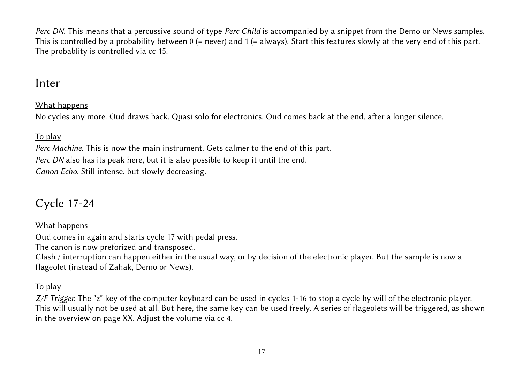*Perc DN.* This means that a percussive sound of type *Perc Child* is accompanied by a snippet from the Demo or News samples. This is controlled by a probability between  $0$  (= never) and  $1$  (= always). Start this features slowly at the very end of this part. The probablity is controlled via cc 15.

#### Inter

#### What happens

No cycles any more. Oud draws back. Quasi solo for electronics. Oud comes back at the end, after a longer silence.

#### To play

*Perc Machine.* This is now the main instrument. Gets calmer to the end of this part. *Perc DN* also has its peak here, but it is also possible to keep it until the end. *Canon Echo.* Still intense, but slowly decreasing.

## Cycle 17-24

#### What happens

Oud comes in again and starts cycle 17 with pedal press.

The canon is now preforized and transposed.

Clash / interruption can happen either in the usual way, or by decision of the electronic player. But the sample is now a flageolet (instead of Zahak, Demo or News).

#### To play

*Z/F Trigger.* The "z" key of the computer keyboard can be used in cycles 1-16 to stop a cycle by will of the electronic player. This will usually not be used at all. But here, the same key can be used freely. A series of flageolets will be triggered, as shown in the overview on page XX. Adjust the volume via cc 4.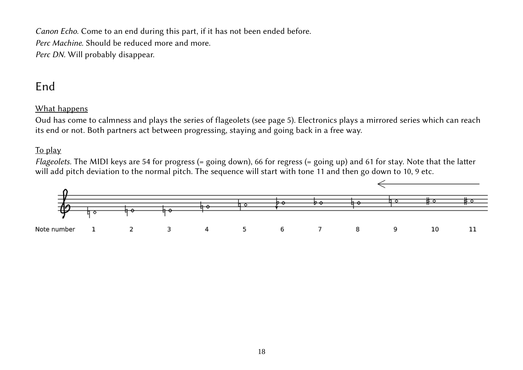*Canon Echo.* Come to an end during this part, if it has not been ended before. *Perc Machine.* Should be reduced more and more. *Perc DN.* Will probably disappear.

#### End

#### What happens

Oud has come to calmness and plays the series of flageolets (see page 5). Electronics plays a mirrored series which can reach its end or not. Both partners act between progressing, staying and going back in a free way.

#### To play

*Flageolets.* The MIDI keys are 54 for progress (= going down), 66 for regress (= going up) and 61 for stay. Note that the latter will add pitch deviation to the normal pitch. The sequence will start with tone 11 and then go down to 10, 9 etc.